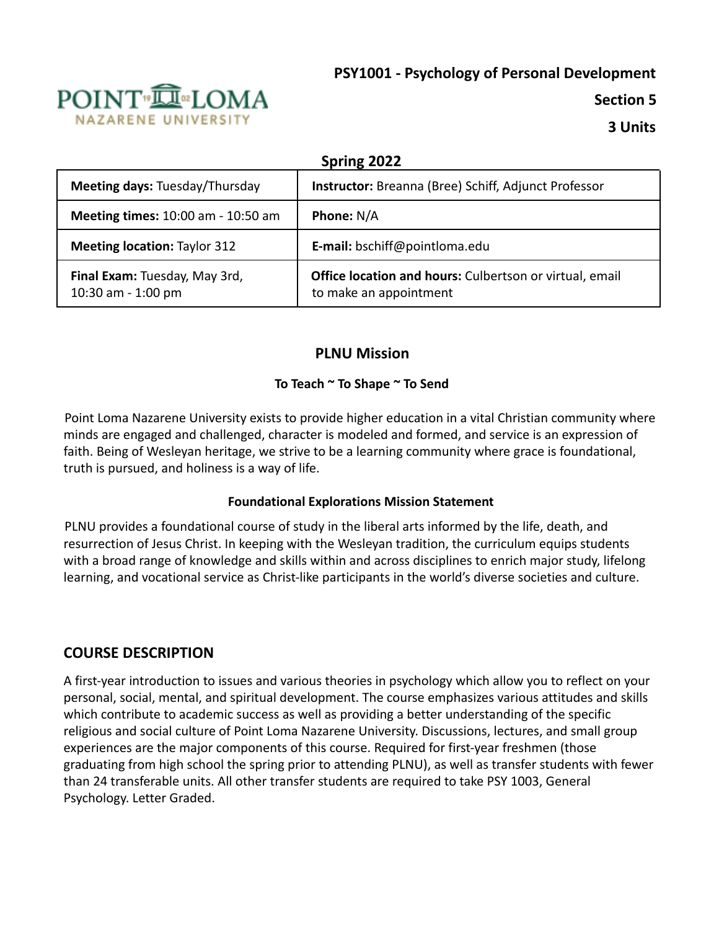# **PSY1001 - Psychology of Personal Development**



**Section 5**

**3 Units**

| Spring 2022                                         |                                                                                   |  |  |  |
|-----------------------------------------------------|-----------------------------------------------------------------------------------|--|--|--|
| Meeting days: Tuesday/Thursday                      | <b>Instructor:</b> Breanna (Bree) Schiff, Adjunct Professor                       |  |  |  |
| <b>Meeting times: 10:00 am - 10:50 am</b>           | <b>Phone: N/A</b>                                                                 |  |  |  |
| <b>Meeting location: Taylor 312</b>                 | E-mail: bschiff@pointloma.edu                                                     |  |  |  |
| Final Exam: Tuesday, May 3rd,<br>10:30 am - 1:00 pm | Office location and hours: Culbertson or virtual, email<br>to make an appointment |  |  |  |

# **PLNU Mission**

#### **To Teach ~ To Shape ~ To Send**

Point Loma Nazarene University exists to provide higher education in a vital Christian community where minds are engaged and challenged, character is modeled and formed, and service is an expression of faith. Being of Wesleyan heritage, we strive to be a learning community where grace is foundational, truth is pursued, and holiness is a way of life.

#### **Foundational Explorations Mission Statement**

PLNU provides a foundational course of study in the liberal arts informed by the life, death, and resurrection of Jesus Christ. In keeping with the Wesleyan tradition, the curriculum equips students with a broad range of knowledge and skills within and across disciplines to enrich major study, lifelong learning, and vocational service as Christ-like participants in the world's diverse societies and culture.

# **COURSE DESCRIPTION**

A first-year introduction to issues and various theories in psychology which allow you to reflect on your personal, social, mental, and spiritual development. The course emphasizes various attitudes and skills which contribute to academic success as well as providing a better understanding of the specific religious and social culture of Point Loma Nazarene University. Discussions, lectures, and small group experiences are the major components of this course. Required for first-year freshmen (those graduating from high school the spring prior to attending PLNU), as well as transfer students with fewer than 24 transferable units. All other transfer students are required to take PSY 1003, General Psychology. Letter Graded.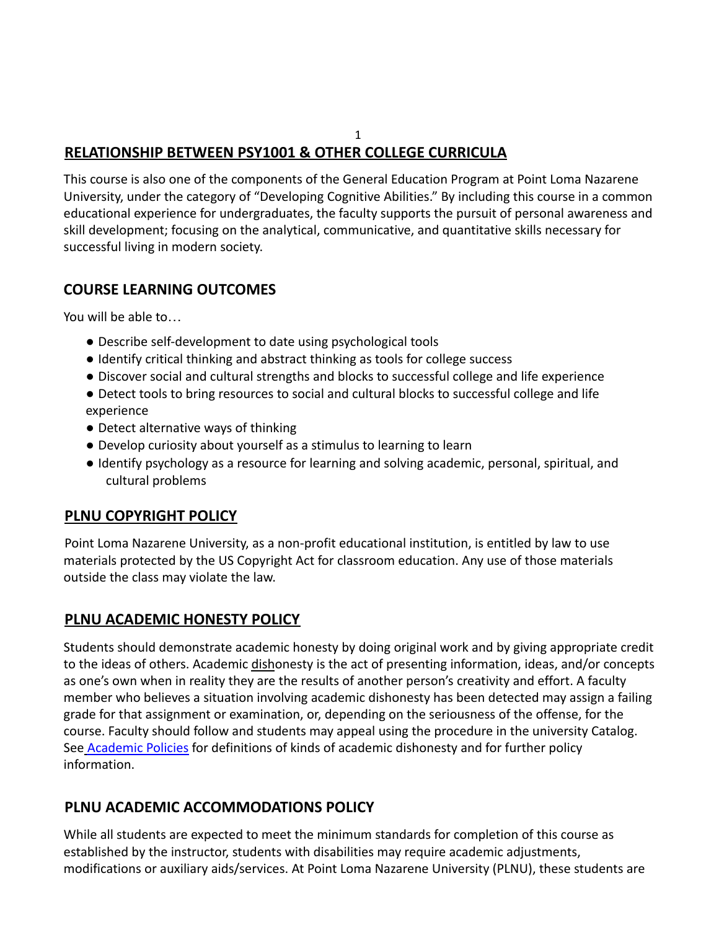# **RELATIONSHIP BETWEEN PSY1001 & OTHER COLLEGE CURRICULA**

This course is also one of the components of the General Education Program at Point Loma Nazarene University, under the category of "Developing Cognitive Abilities." By including this course in a common educational experience for undergraduates, the faculty supports the pursuit of personal awareness and skill development; focusing on the analytical, communicative, and quantitative skills necessary for successful living in modern society.

1

# **COURSE LEARNING OUTCOMES**

You will be able to…

- Describe self-development to date using psychological tools
- Identify critical thinking and abstract thinking as tools for college success
- Discover social and cultural strengths and blocks to successful college and life experience
- Detect tools to bring resources to social and cultural blocks to successful college and life experience
- Detect alternative ways of thinking
- Develop curiosity about yourself as a stimulus to learning to learn
- Identify psychology as a resource for learning and solving academic, personal, spiritual, and cultural problems

# **PLNU COPYRIGHT POLICY**

Point Loma Nazarene University, as a non-profit educational institution, is entitled by law to use materials protected by the US Copyright Act for classroom education. Any use of those materials outside the class may violate the law.

# **PLNU ACADEMIC HONESTY POLICY**

Students should demonstrate academic honesty by doing original work and by giving appropriate credit to the ideas of others. Academic dishonesty is the act of presenting information, ideas, and/or concepts as one's own when in reality they are the results of another person's creativity and effort. A faculty member who believes a situation involving academic dishonesty has been detected may assign a failing grade for that assignment or examination, or, depending on the seriousness of the offense, for the course. Faculty should follow and students may appeal using the procedure in the university Catalog. See **Academic Policies** for definitions of kinds of academic dishonesty and for further policy information.

# **PLNU ACADEMIC ACCOMMODATIONS POLICY**

While all students are expected to meet the minimum standards for completion of this course as established by the instructor, students with disabilities may require academic adjustments, modifications or auxiliary aids/services. At Point Loma Nazarene University (PLNU), these students are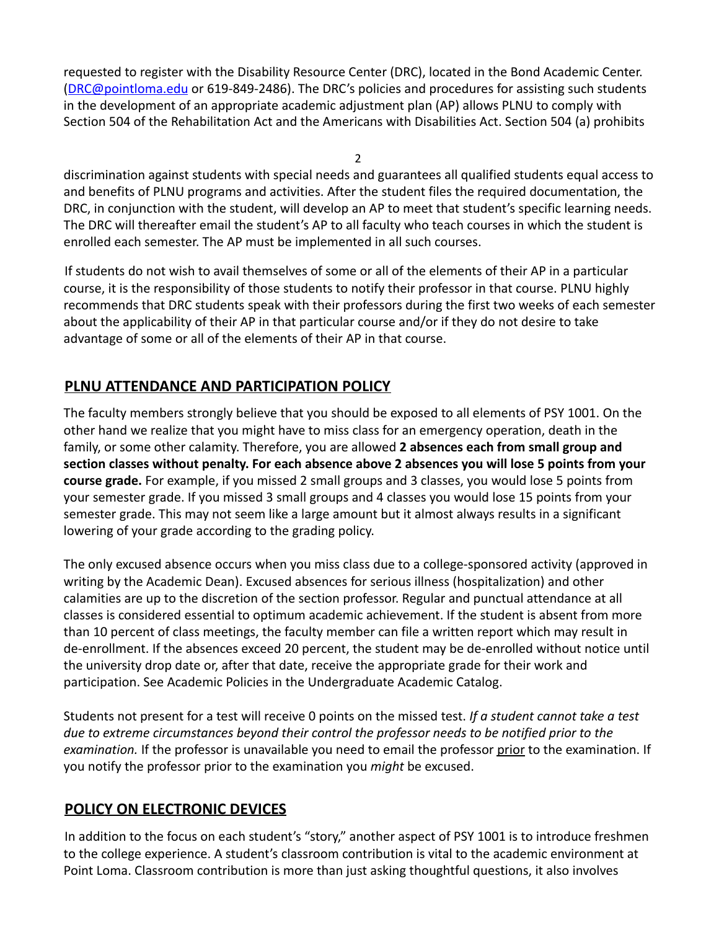requested to register with the Disability Resource Center (DRC), located in the Bond Academic Center. (DRC@pointloma.edu or 619-849-2486). The DRC's policies and procedures for assisting such students in the development of an appropriate academic adjustment plan (AP) allows PLNU to comply with Section 504 of the Rehabilitation Act and the Americans with Disabilities Act. Section 504 (a) prohibits

2

discrimination against students with special needs and guarantees all qualified students equal access to and benefits of PLNU programs and activities. After the student files the required documentation, the DRC, in conjunction with the student, will develop an AP to meet that student's specific learning needs. The DRC will thereafter email the student's AP to all faculty who teach courses in which the student is enrolled each semester. The AP must be implemented in all such courses.

If students do not wish to avail themselves of some or all of the elements of their AP in a particular course, it is the responsibility of those students to notify their professor in that course. PLNU highly recommends that DRC students speak with their professors during the first two weeks of each semester about the applicability of their AP in that particular course and/or if they do not desire to take advantage of some or all of the elements of their AP in that course.

# **PLNU ATTENDANCE AND PARTICIPATION POLICY**

The faculty members strongly believe that you should be exposed to all elements of PSY 1001. On the other hand we realize that you might have to miss class for an emergency operation, death in the family, or some other calamity. Therefore, you are allowed **2 absences each from small group and section classes without penalty. For each absence above 2 absences you will lose 5 points from your course grade.** For example, if you missed 2 small groups and 3 classes, you would lose 5 points from your semester grade. If you missed 3 small groups and 4 classes you would lose 15 points from your semester grade. This may not seem like a large amount but it almost always results in a significant lowering of your grade according to the grading policy.

The only excused absence occurs when you miss class due to a college-sponsored activity (approved in writing by the Academic Dean). Excused absences for serious illness (hospitalization) and other calamities are up to the discretion of the section professor. Regular and punctual attendance at all classes is considered essential to optimum academic achievement. If the student is absent from more than 10 percent of class meetings, the faculty member can file a written report which may result in de-enrollment. If the absences exceed 20 percent, the student may be de-enrolled without notice until the university drop date or, after that date, receive the appropriate grade for their work and participation. See Academic Policies in the Undergraduate Academic Catalog.

Students not present for a test will receive 0 points on the missed test. *If a student cannot take a test due to extreme circumstances beyond their control the professor needs to be notified prior to the examination.* If the professor is unavailable you need to email the professor prior to the examination. If you notify the professor prior to the examination you *might* be excused.

# **POLICY ON ELECTRONIC DEVICES**

In addition to the focus on each student's "story," another aspect of PSY 1001 is to introduce freshmen to the college experience. A student's classroom contribution is vital to the academic environment at Point Loma. Classroom contribution is more than just asking thoughtful questions, it also involves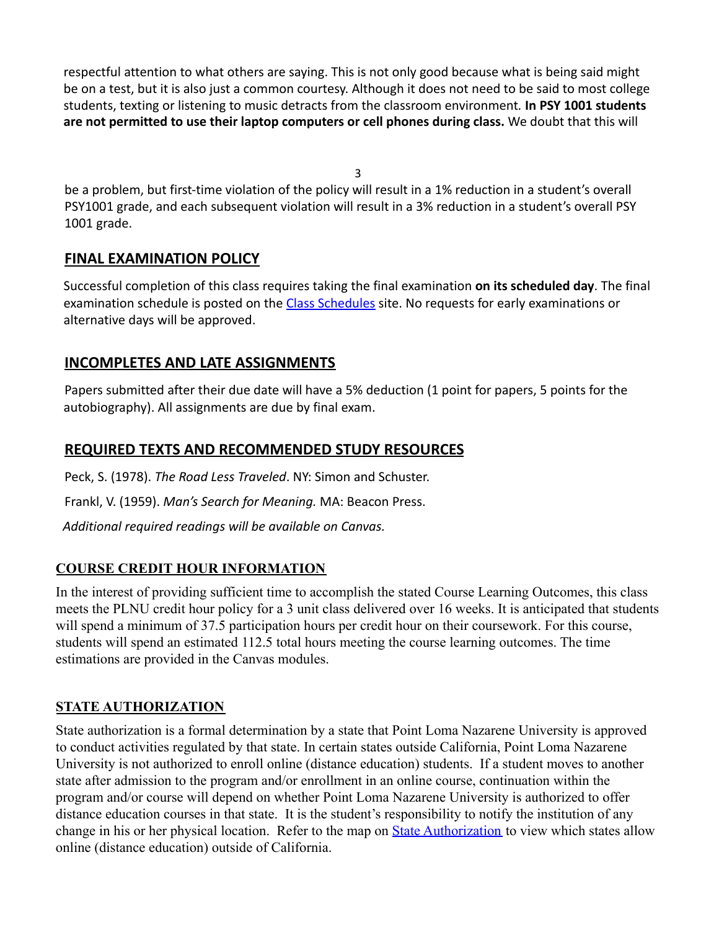respectful attention to what others are saying. This is not only good because what is being said might be on a test, but it is also just a common courtesy. Although it does not need to be said to most college students, texting or listening to music detracts from the classroom environment*.* **In PSY 1001 students are not permitted to use their laptop computers or cell phones during class.** We doubt that this will

3

be a problem, but first-time violation of the policy will result in a 1% reduction in a student's overall PSY1001 grade, and each subsequent violation will result in a 3% reduction in a student's overall PSY 1001 grade.

#### **FINAL EXAMINATION POLICY**

Successful completion of this class requires taking the final examination **on its scheduled day**. The final examination schedule is posted on the Class Schedules site. No requests for early examinations or alternative days will be approved.

# **INCOMPLETES AND LATE ASSIGNMENTS**

Papers submitted after their due date will have a 5% deduction (1 point for papers, 5 points for the autobiography). All assignments are due by final exam.

# **REQUIRED TEXTS AND RECOMMENDED STUDY RESOURCES**

Peck, S. (1978). *The Road Less Traveled*. NY: Simon and Schuster. Frankl, V. (1959). *Man's Search for Meaning.* MA: Beacon Press.

*Additional required readings will be available on Canvas.*

# **COURSE CREDIT HOUR INFORMATION**

In the interest of providing sufficient time to accomplish the stated Course Learning Outcomes, this class meets the PLNU credit hour policy for a 3 unit class delivered over 16 weeks. It is anticipated that students will spend a minimum of 37.5 participation hours per credit hour on their coursework. For this course, students will spend an estimated 112.5 total hours meeting the course learning outcomes. The time estimations are provided in the Canvas modules.

# **STATE AUTHORIZATION**

State authorization is a formal determination by a state that Point Loma Nazarene University is approved to conduct activities regulated by that state. In certain states outside California, Point Loma Nazarene University is not authorized to enroll online (distance education) students. If a student moves to another state after admission to the program and/or enrollment in an online course, continuation within the program and/or course will depend on whether Point Loma Nazarene University is authorized to offer distance education courses in that state. It is the student's responsibility to notify the institution of any change in his or her physical location. Refer to the map on **[State Authorization](https://www.pointloma.edu/offices/office-institutional-effectiveness-research/disclosures)** to view which states allow online (distance education) outside of California.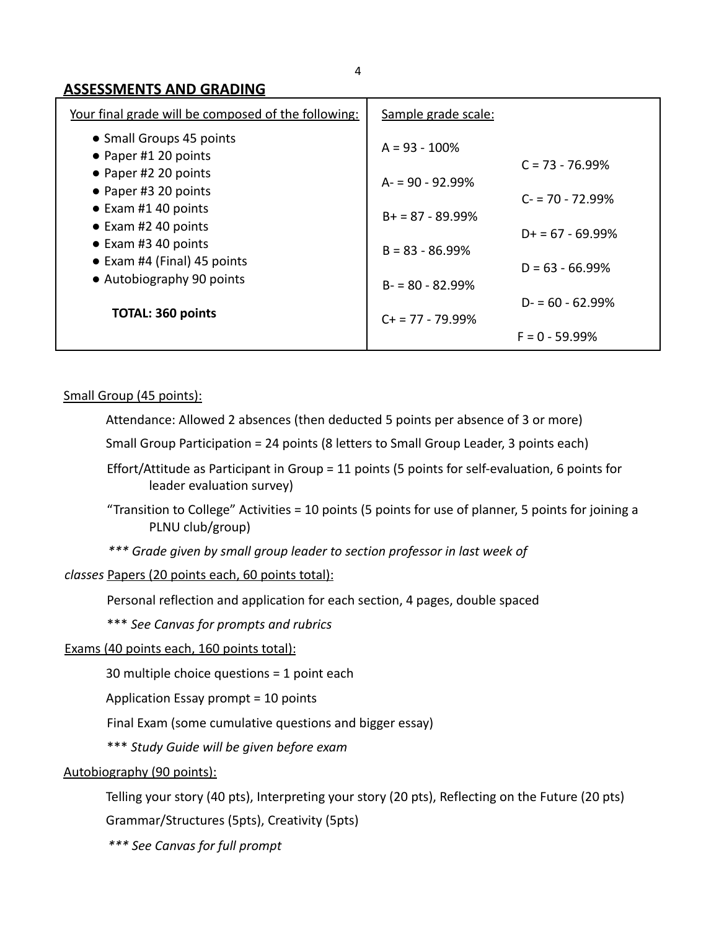#### **ASSESSMENTS AND GRADING**

| Your final grade will be composed of the following:                                                                                                                                                                                                                   | Sample grade scale:                        |                                             |
|-----------------------------------------------------------------------------------------------------------------------------------------------------------------------------------------------------------------------------------------------------------------------|--------------------------------------------|---------------------------------------------|
| • Small Groups 45 points<br>• Paper #1 20 points<br>• Paper #2 20 points<br>• Paper #3 20 points<br>$\bullet$ Exam #1 40 points<br>• Exam #2 40 points<br>• Exam #3 40 points<br>• Exam #4 (Final) 45 points<br>• Autobiography 90 points<br><b>TOTAL: 360 points</b> | $A = 93 - 100\%$<br>$A = 90 - 92.99%$      | $C = 73 - 76.99\%$                          |
|                                                                                                                                                                                                                                                                       | $B+ = 87 - 89.99%$                         | $C = 70 - 72.99%$<br>$D_{+} = 67 - 69.99\%$ |
|                                                                                                                                                                                                                                                                       | $B = 83 - 86.99%$                          | $D = 63 - 66.99%$                           |
|                                                                                                                                                                                                                                                                       | $B = 80 - 82.99%$<br>$C_{+}$ = 77 - 79.99% | $D = 60 - 62.99%$                           |
|                                                                                                                                                                                                                                                                       |                                            | $F = 0 - 59.99%$                            |

Small Group (45 points):

Attendance: Allowed 2 absences (then deducted 5 points per absence of 3 or more)

Small Group Participation = 24 points (8 letters to Small Group Leader, 3 points each)

Effort/Attitude as Participant in Group = 11 points (5 points for self-evaluation, 6 points for leader evaluation survey)

"Transition to College" Activities = 10 points (5 points for use of planner, 5 points for joining a PLNU club/group)

*\*\*\* Grade given by small group leader to section professor in last week of*

*classes* Papers (20 points each, 60 points total):

Personal reflection and application for each section, 4 pages, double spaced

\*\*\* *See Canvas for prompts and rubrics*

Exams (40 points each, 160 points total):

30 multiple choice questions = 1 point each

Application Essay prompt = 10 points

Final Exam (some cumulative questions and bigger essay)

\*\*\* *Study Guide will be given before exam*

Autobiography (90 points):

Telling your story (40 pts), Interpreting your story (20 pts), Reflecting on the Future (20 pts)

Grammar/Structures (5pts), Creativity (5pts)

*\*\*\* See Canvas for full prompt*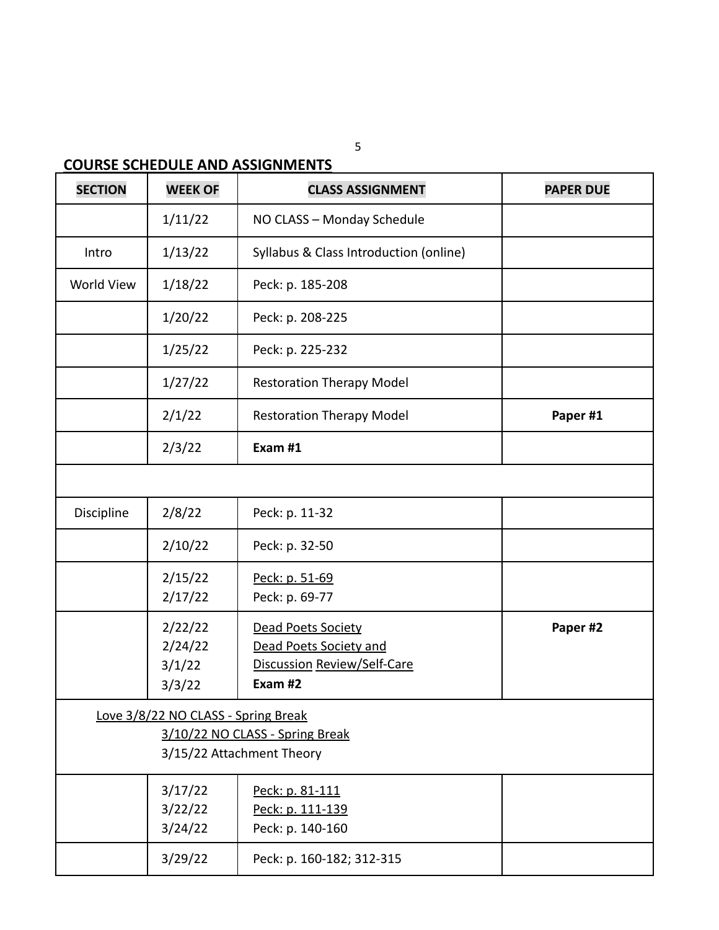# **COURSE SCHEDULE AND ASSIGNMENTS**

| <b>SECTION</b> | <b>WEEK OF</b>                      | <b>CLASS ASSIGNMENT</b>                | <b>PAPER DUE</b> |
|----------------|-------------------------------------|----------------------------------------|------------------|
|                | 1/11/22                             | NO CLASS - Monday Schedule             |                  |
| Intro          | 1/13/22                             | Syllabus & Class Introduction (online) |                  |
| World View     | 1/18/22                             | Peck: p. 185-208                       |                  |
|                | 1/20/22                             | Peck: p. 208-225                       |                  |
|                | 1/25/22                             | Peck: p. 225-232                       |                  |
|                | 1/27/22                             | <b>Restoration Therapy Model</b>       |                  |
|                | 2/1/22                              | <b>Restoration Therapy Model</b>       | Paper #1         |
|                | 2/3/22                              | Exam #1                                |                  |
|                |                                     |                                        |                  |
| Discipline     | 2/8/22                              | Peck: p. 11-32                         |                  |
|                | 2/10/22                             | Peck: p. 32-50                         |                  |
|                | 2/15/22                             | Peck: p. 51-69                         |                  |
|                | 2/17/22                             | Peck: p. 69-77                         |                  |
|                | 2/22/22                             | <b>Dead Poets Society</b>              | Paper #2         |
|                | 2/24/22                             | <b>Dead Poets Society and</b>          |                  |
|                | 3/1/22                              | Discussion Review/Self-Care            |                  |
|                | 3/3/22                              | Exam #2                                |                  |
|                | Love 3/8/22 NO CLASS - Spring Break |                                        |                  |
|                | 3/10/22 NO CLASS - Spring Break     |                                        |                  |
|                |                                     | 3/15/22 Attachment Theory              |                  |
|                | 3/17/22                             | Peck: p. 81-111                        |                  |
|                | 3/22/22                             | Peck: p. 111-139                       |                  |
|                | 3/24/22                             | Peck: p. 140-160                       |                  |
|                | 3/29/22                             | Peck: p. 160-182; 312-315              |                  |